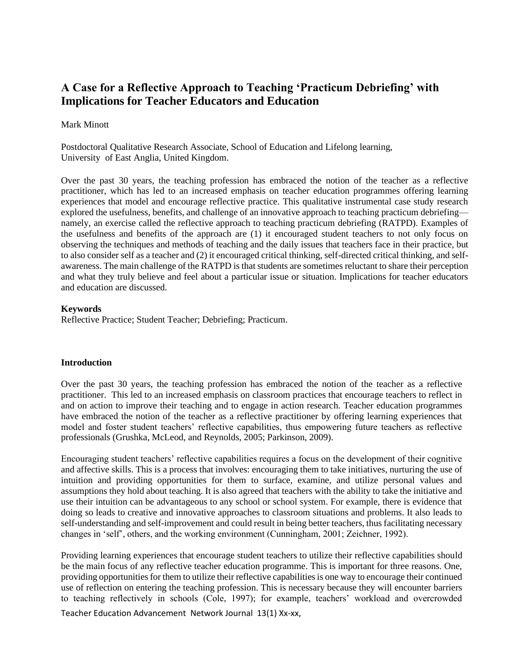# **A Case for a Reflective Approach to Teaching 'Practicum Debriefing' with Implications for Teacher Educators and Education**

#### Mark Minott

Postdoctoral Qualitative Research Associate, School of Education and Lifelong learning, University of East Anglia, United Kingdom.

Over the past 30 years, the teaching profession has embraced the notion of the teacher as a reflective practitioner, which has led to an increased emphasis on teacher education programmes offering learning experiences that model and encourage reflective practice. This qualitative instrumental case study research explored the usefulness, benefits, and challenge of an innovative approach to teaching practicum debriefing namely, an exercise called the reflective approach to teaching practicum debriefing (RATPD). Examples of the usefulness and benefits of the approach are (1) it encouraged student teachers to not only focus on observing the techniques and methods of teaching and the daily issues that teachers face in their practice, but to also consider self as a teacher and (2) it encouraged critical thinking, self-directed critical thinking, and selfawareness. The main challenge of the RATPD is that students are sometimes reluctant to share their perception and what they truly believe and feel about a particular issue or situation. Implications for teacher educators and education are discussed.

## **Keywords**

Reflective Practice; Student Teacher; Debriefing; Practicum.

#### **Introduction**

Over the past 30 years, the teaching profession has embraced the notion of the teacher as a reflective practitioner. This led to an increased emphasis on classroom practices that encourage teachers to reflect in and on action to improve their teaching and to engage in action research. Teacher education programmes have embraced the notion of the teacher as a reflective practitioner by offering learning experiences that model and foster student teachers' reflective capabilities, thus empowering future teachers as reflective professionals (Grushka, McLeod, and Reynolds, 2005; Parkinson, 2009).

Encouraging student teachers' reflective capabilities requires a focus on the development of their cognitive and affective skills. This is a process that involves: encouraging them to take initiatives, nurturing the use of intuition and providing opportunities for them to surface, examine, and utilize personal values and assumptions they hold about teaching. It is also agreed that teachers with the ability to take the initiative and use their intuition can be advantageous to any school or school system. For example, there is evidence that doing so leads to creative and innovative approaches to classroom situations and problems. It also leads to self-understanding and self-improvement and could result in being better teachers, thus facilitating necessary changes in 'self', others, and the working environment (Cunningham, 2001; Zeichner, 1992).

Providing learning experiences that encourage student teachers to utilize their reflective capabilities should be the main focus of any reflective teacher education programme. This is important for three reasons. One, providing opportunities for them to utilize their reflective capabilities is one way to encourage their continued use of reflection on entering the teaching profession. This is necessary because they will encounter barriers to teaching reflectively in schools (Cole, 1997); for example, teachers' workload and overcrowded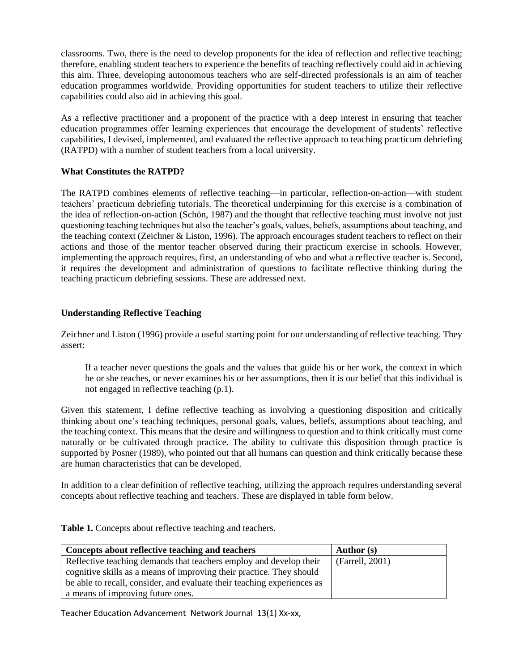classrooms. Two, there is the need to develop proponents for the idea of reflection and reflective teaching; therefore, enabling student teachers to experience the benefits of teaching reflectively could aid in achieving this aim. Three, developing autonomous teachers who are self-directed professionals is an aim of teacher education programmes worldwide. Providing opportunities for student teachers to utilize their reflective capabilities could also aid in achieving this goal.

As a reflective practitioner and a proponent of the practice with a deep interest in ensuring that teacher education programmes offer learning experiences that encourage the development of students' reflective capabilities, I devised, implemented, and evaluated the reflective approach to teaching practicum debriefing (RATPD) with a number of student teachers from a local university.

# **What Constitutes the RATPD?**

The RATPD combines elements of reflective teaching—in particular, reflection-on-action—with student teachers' practicum debriefing tutorials. The theoretical underpinning for this exercise is a combination of the idea of reflection-on-action (Schön, 1987) and the thought that reflective teaching must involve not just questioning teaching techniques but also the teacher's goals, values, beliefs, assumptions about teaching, and the teaching context (Zeichner & Liston, 1996). The approach encourages student teachers to reflect on their actions and those of the mentor teacher observed during their practicum exercise in schools. However, implementing the approach requires, first, an understanding of who and what a reflective teacher is. Second, it requires the development and administration of questions to facilitate reflective thinking during the teaching practicum debriefing sessions. These are addressed next.

## **Understanding Reflective Teaching**

Zeichner and Liston (1996) provide a useful starting point for our understanding of reflective teaching. They assert:

If a teacher never questions the goals and the values that guide his or her work, the context in which he or she teaches, or never examines his or her assumptions, then it is our belief that this individual is not engaged in reflective teaching (p.1).

Given this statement, I define reflective teaching as involving a questioning disposition and critically thinking about one's teaching techniques, personal goals, values, beliefs, assumptions about teaching, and the teaching context. This means that the desire and willingness to question and to think critically must come naturally or be cultivated through practice. The ability to cultivate this disposition through practice is supported by Posner (1989), who pointed out that all humans can question and think critically because these are human characteristics that can be developed.

In addition to a clear definition of reflective teaching, utilizing the approach requires understanding several concepts about reflective teaching and teachers. These are displayed in table form below.

| Concepts about reflective teaching and teachers                         | <b>Author</b> (s) |
|-------------------------------------------------------------------------|-------------------|
| Reflective teaching demands that teachers employ and develop their      | (Farrell, 2001)   |
| cognitive skills as a means of improving their practice. They should    |                   |
| be able to recall, consider, and evaluate their teaching experiences as |                   |
| a means of improving future ones.                                       |                   |

**Table 1.** Concepts about reflective teaching and teachers.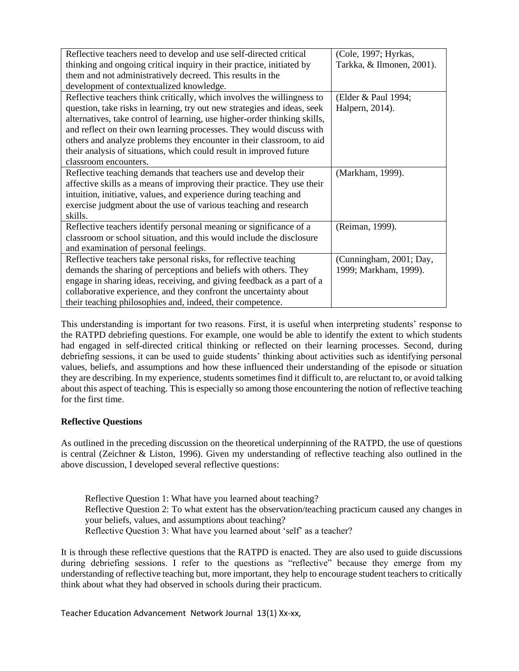| Tarkka, & Ilmonen, 2001). |
|---------------------------|
|                           |
|                           |
|                           |
|                           |
|                           |
|                           |
|                           |
|                           |
|                           |
|                           |
|                           |
|                           |
|                           |
|                           |
|                           |
|                           |
|                           |
|                           |
|                           |
| (Cunningham, 2001; Day,   |
|                           |
|                           |
|                           |
|                           |
|                           |

This understanding is important for two reasons. First, it is useful when interpreting students' response to the RATPD debriefing questions. For example, one would be able to identify the extent to which students had engaged in self-directed critical thinking or reflected on their learning processes. Second, during debriefing sessions, it can be used to guide students' thinking about activities such as identifying personal values, beliefs, and assumptions and how these influenced their understanding of the episode or situation they are describing. In my experience, students sometimes find it difficult to, are reluctant to, or avoid talking about this aspect of teaching. This is especially so among those encountering the notion of reflective teaching for the first time.

# **Reflective Questions**

As outlined in the preceding discussion on the theoretical underpinning of the RATPD, the use of questions is central (Zeichner & Liston, 1996). Given my understanding of reflective teaching also outlined in the above discussion, I developed several reflective questions:

Reflective Question 1: What have you learned about teaching? Reflective Question 2: To what extent has the observation/teaching practicum caused any changes in your beliefs, values, and assumptions about teaching? Reflective Question 3: What have you learned about 'self' as a teacher?

It is through these reflective questions that the RATPD is enacted. They are also used to guide discussions during debriefing sessions. I refer to the questions as "reflective" because they emerge from my understanding of reflective teaching but, more important, they help to encourage student teachers to critically think about what they had observed in schools during their practicum.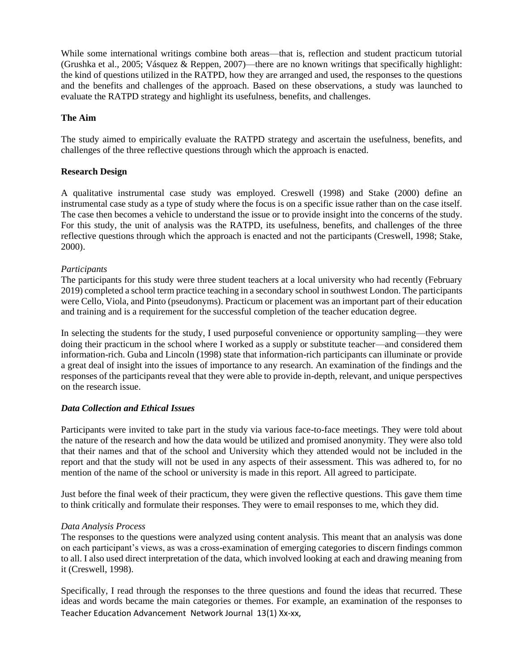While some international writings combine both areas—that is, reflection and student practicum tutorial (Grushka et al., 2005; Vásquez & Reppen, 2007)—there are no known writings that specifically highlight: the kind of questions utilized in the RATPD, how they are arranged and used, the responses to the questions and the benefits and challenges of the approach. Based on these observations, a study was launched to evaluate the RATPD strategy and highlight its usefulness, benefits, and challenges.

## **The Aim**

The study aimed to empirically evaluate the RATPD strategy and ascertain the usefulness, benefits, and challenges of the three reflective questions through which the approach is enacted.

## **Research Design**

A qualitative instrumental case study was employed. Creswell (1998) and Stake (2000) define an instrumental case study as a type of study where the focus is on a specific issue rather than on the case itself. The case then becomes a vehicle to understand the issue or to provide insight into the concerns of the study. For this study, the unit of analysis was the RATPD, its usefulness, benefits, and challenges of the three reflective questions through which the approach is enacted and not the participants (Creswell, 1998; Stake, 2000).

## *Participants*

The participants for this study were three student teachers at a local university who had recently (February 2019) completed a school term practice teaching in a secondary school in southwest London. The participants were Cello, Viola, and Pinto (pseudonyms). Practicum or placement was an important part of their education and training and is a requirement for the successful completion of the teacher education degree.

In selecting the students for the study, I used purposeful convenience or opportunity sampling—they were doing their practicum in the school where I worked as a supply or substitute teacher—and considered them information-rich. Guba and Lincoln (1998) state that information-rich participants can illuminate or provide a great deal of insight into the issues of importance to any research. An examination of the findings and the responses of the participants reveal that they were able to provide in-depth, relevant, and unique perspectives on the research issue.

# *Data Collection and Ethical Issues*

Participants were invited to take part in the study via various face-to-face meetings. They were told about the nature of the research and how the data would be utilized and promised anonymity. They were also told that their names and that of the school and University which they attended would not be included in the report and that the study will not be used in any aspects of their assessment. This was adhered to, for no mention of the name of the school or university is made in this report. All agreed to participate.

Just before the final week of their practicum, they were given the reflective questions. This gave them time to think critically and formulate their responses. They were to email responses to me, which they did.

#### *Data Analysis Process*

The responses to the questions were analyzed using content analysis. This meant that an analysis was done on each participant's views, as was a cross-examination of emerging categories to discern findings common to all. I also used direct interpretation of the data, which involved looking at each and drawing meaning from it (Creswell, 1998).

Teacher Education Advancement Network Journal 13(1) Xx-xx, Specifically, I read through the responses to the three questions and found the ideas that recurred. These ideas and words became the main categories or themes. For example, an examination of the responses to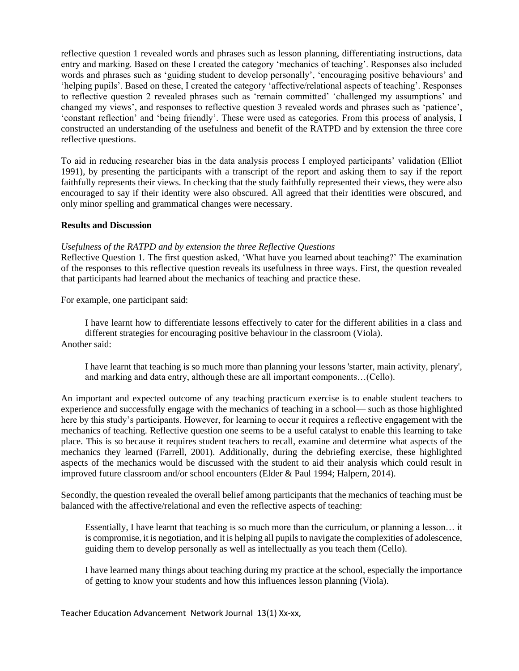reflective question 1 revealed words and phrases such as lesson planning, differentiating instructions, data entry and marking. Based on these I created the category 'mechanics of teaching'. Responses also included words and phrases such as 'guiding student to develop personally', 'encouraging positive behaviours' and 'helping pupils'. Based on these, I created the category 'affective/relational aspects of teaching'. Responses to reflective question 2 revealed phrases such as 'remain committed' 'challenged my assumptions' and changed my views', and responses to reflective question 3 revealed words and phrases such as 'patience', 'constant reflection' and 'being friendly'. These were used as categories. From this process of analysis, I constructed an understanding of the usefulness and benefit of the RATPD and by extension the three core reflective questions.

To aid in reducing researcher bias in the data analysis process I employed participants' validation (Elliot 1991), by presenting the participants with a transcript of the report and asking them to say if the report faithfully represents their views. In checking that the study faithfully represented their views, they were also encouraged to say if their identity were also obscured. All agreed that their identities were obscured, and only minor spelling and grammatical changes were necessary.

## **Results and Discussion**

#### *Usefulness of the RATPD and by extension the three Reflective Questions*

Reflective Question 1*.* The first question asked, 'What have you learned about teaching?' The examination of the responses to this reflective question reveals its usefulness in three ways. First, the question revealed that participants had learned about the mechanics of teaching and practice these.

For example, one participant said:

I have learnt how to differentiate lessons effectively to cater for the different abilities in a class and different strategies for encouraging positive behaviour in the classroom (Viola). Another said:

I have learnt that teaching is so much more than planning your lessons 'starter, main activity, plenary', and marking and data entry, although these are all important components…(Cello).

An important and expected outcome of any teaching practicum exercise is to enable student teachers to experience and successfully engage with the mechanics of teaching in a school— such as those highlighted here by this study's participants. However, for learning to occur it requires a reflective engagement with the mechanics of teaching. Reflective question one seems to be a useful catalyst to enable this learning to take place. This is so because it requires student teachers to recall, examine and determine what aspects of the mechanics they learned (Farrell, 2001). Additionally, during the debriefing exercise, these highlighted aspects of the mechanics would be discussed with the student to aid their analysis which could result in improved future classroom and/or school encounters (Elder & Paul 1994; Halpern, 2014).

Secondly, the question revealed the overall belief among participants that the mechanics of teaching must be balanced with the affective/relational and even the reflective aspects of teaching:

Essentially, I have learnt that teaching is so much more than the curriculum, or planning a lesson… it is compromise, it is negotiation, and it is helping all pupils to navigate the complexities of adolescence, guiding them to develop personally as well as intellectually as you teach them (Cello).

I have learned many things about teaching during my practice at the school, especially the importance of getting to know your students and how this influences lesson planning (Viola).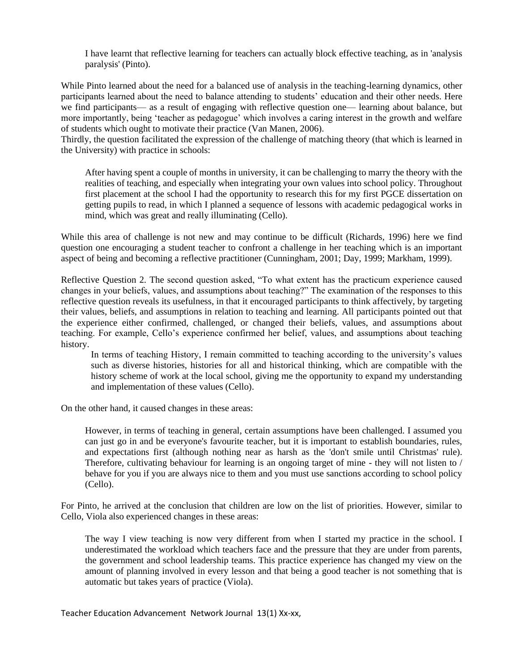I have learnt that reflective learning for teachers can actually block effective teaching, as in 'analysis paralysis' (Pinto).

While Pinto learned about the need for a balanced use of analysis in the teaching-learning dynamics, other participants learned about the need to balance attending to students' education and their other needs. Here we find participants— as a result of engaging with reflective question one— learning about balance, but more importantly, being 'teacher as pedagogue' which involves a caring interest in the growth and welfare of students which ought to motivate their practice (Van Manen, 2006).

Thirdly, the question facilitated the expression of the challenge of matching theory (that which is learned in the University) with practice in schools:

After having spent a couple of months in university, it can be challenging to marry the theory with the realities of teaching, and especially when integrating your own values into school policy. Throughout first placement at the school I had the opportunity to research this for my first PGCE dissertation on getting pupils to read, in which I planned a sequence of lessons with academic pedagogical works in mind, which was great and really illuminating (Cello).

While this area of challenge is not new and may continue to be difficult (Richards, 1996) here we find question one encouraging a student teacher to confront a challenge in her teaching which is an important aspect of being and becoming a reflective practitioner (Cunningham, 2001; Day, 1999; Markham, 1999).

Reflective Question 2. The second question asked, "To what extent has the practicum experience caused changes in your beliefs, values, and assumptions about teaching?" The examination of the responses to this reflective question reveals its usefulness, in that it encouraged participants to think affectively, by targeting their values, beliefs, and assumptions in relation to teaching and learning. All participants pointed out that the experience either confirmed, challenged, or changed their beliefs, values, and assumptions about teaching. For example, Cello's experience confirmed her belief, values, and assumptions about teaching history.

In terms of teaching History, I remain committed to teaching according to the university's values such as diverse histories, histories for all and historical thinking, which are compatible with the history scheme of work at the local school, giving me the opportunity to expand my understanding and implementation of these values (Cello).

On the other hand, it caused changes in these areas:

However, in terms of teaching in general, certain assumptions have been challenged. I assumed you can just go in and be everyone's favourite teacher, but it is important to establish boundaries, rules, and expectations first (although nothing near as harsh as the 'don't smile until Christmas' rule). Therefore, cultivating behaviour for learning is an ongoing target of mine - they will not listen to / behave for you if you are always nice to them and you must use sanctions according to school policy (Cello).

For Pinto, he arrived at the conclusion that children are low on the list of priorities. However, similar to Cello, Viola also experienced changes in these areas:

The way I view teaching is now very different from when I started my practice in the school. I underestimated the workload which teachers face and the pressure that they are under from parents, the government and school leadership teams. This practice experience has changed my view on the amount of planning involved in every lesson and that being a good teacher is not something that is automatic but takes years of practice (Viola).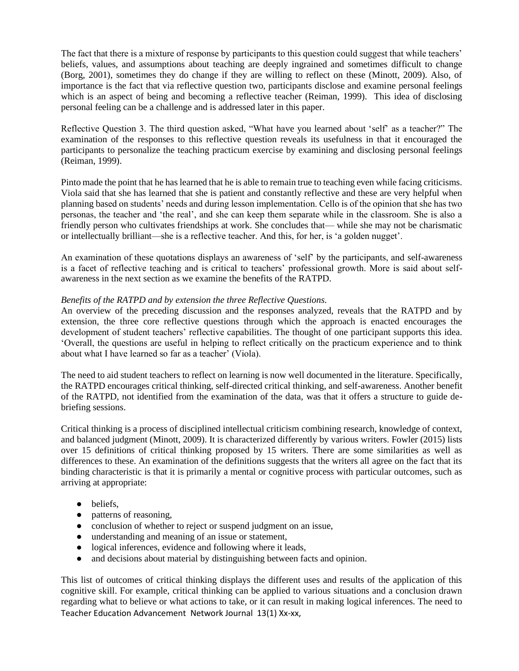The fact that there is a mixture of response by participants to this question could suggest that while teachers' beliefs, values, and assumptions about teaching are deeply ingrained and sometimes difficult to change (Borg, 2001), sometimes they do change if they are willing to reflect on these (Minott, 2009). Also, of importance is the fact that via reflective question two, participants disclose and examine personal feelings which is an aspect of being and becoming a reflective teacher (Reiman, 1999). This idea of disclosing personal feeling can be a challenge and is addressed later in this paper.

Reflective Question 3. The third question asked, "What have you learned about 'self' as a teacher?" The examination of the responses to this reflective question reveals its usefulness in that it encouraged the participants to personalize the teaching practicum exercise by examining and disclosing personal feelings (Reiman, 1999).

Pinto made the point that he has learned that he is able to remain true to teaching even while facing criticisms. Viola said that she has learned that she is patient and constantly reflective and these are very helpful when planning based on students' needs and during lesson implementation. Cello is of the opinion that she has two personas, the teacher and 'the real', and she can keep them separate while in the classroom. She is also a friendly person who cultivates friendships at work. She concludes that— while she may not be charismatic or intellectually brilliant—she is a reflective teacher. And this, for her, is 'a golden nugget'.

An examination of these quotations displays an awareness of 'self' by the participants, and self-awareness is a facet of reflective teaching and is critical to teachers' professional growth. More is said about selfawareness in the next section as we examine the benefits of the RATPD.

# *Benefits of the RATPD and by extension the three Reflective Questions.*

An overview of the preceding discussion and the responses analyzed, reveals that the RATPD and by extension, the three core reflective questions through which the approach is enacted encourages the development of student teachers' reflective capabilities. The thought of one participant supports this idea. 'Overall, the questions are useful in helping to reflect critically on the practicum experience and to think about what I have learned so far as a teacher' (Viola).

The need to aid student teachers to reflect on learning is now well documented in the literature. Specifically, the RATPD encourages critical thinking, self-directed critical thinking, and self-awareness. Another benefit of the RATPD, not identified from the examination of the data, was that it offers a structure to guide debriefing sessions.

Critical thinking is a process of disciplined intellectual criticism combining research, knowledge of context, and balanced judgment (Minott, 2009). It is characterized differently by various writers. Fowler (2015) lists over 15 definitions of critical thinking proposed by 15 writers. There are some similarities as well as differences to these. An examination of the definitions suggests that the writers all agree on the fact that its binding characteristic is that it is primarily a mental or cognitive process with particular outcomes, such as arriving at appropriate:

- beliefs,
- patterns of reasoning,
- conclusion of whether to reject or suspend judgment on an issue,
- understanding and meaning of an issue or statement,
- logical inferences, evidence and following where it leads,
- and decisions about material by distinguishing between facts and opinion.

Teacher Education Advancement Network Journal 13(1) Xx-xx, This list of outcomes of critical thinking displays the different uses and results of the application of this cognitive skill. For example, critical thinking can be applied to various situations and a conclusion drawn regarding what to believe or what actions to take, or it can result in making logical inferences. The need to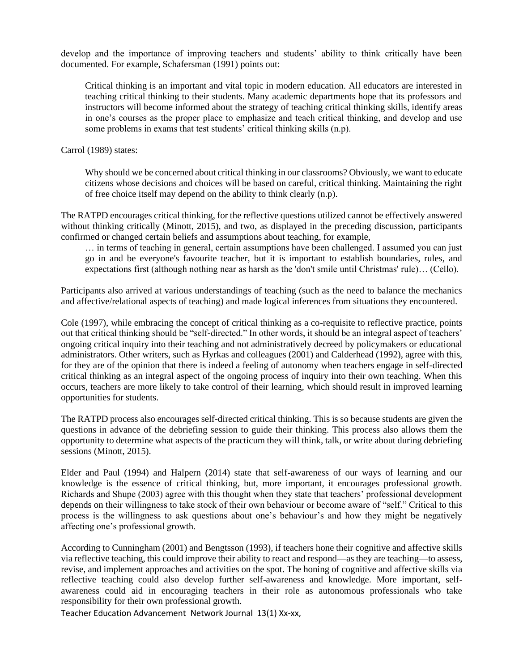develop and the importance of improving teachers and students' ability to think critically have been documented. For example, Schafersman (1991) points out:

Critical thinking is an important and vital topic in modern education. All educators are interested in teaching critical thinking to their students. Many academic departments hope that its professors and instructors will become informed about the strategy of teaching critical thinking skills, identify areas in one's courses as the proper place to emphasize and teach critical thinking, and develop and use some problems in exams that test students' critical thinking skills (n.p).

Carrol (1989) states:

Why should we be concerned about critical thinking in our classrooms? Obviously, we want to educate citizens whose decisions and choices will be based on careful, critical thinking. Maintaining the right of free choice itself may depend on the ability to think clearly (n.p).

The RATPD encourages critical thinking, for the reflective questions utilized cannot be effectively answered without thinking critically (Minott, 2015), and two, as displayed in the preceding discussion, participants confirmed or changed certain beliefs and assumptions about teaching, for example,

… in terms of teaching in general, certain assumptions have been challenged. I assumed you can just go in and be everyone's favourite teacher, but it is important to establish boundaries, rules, and expectations first (although nothing near as harsh as the 'don't smile until Christmas' rule)… (Cello).

Participants also arrived at various understandings of teaching (such as the need to balance the mechanics and affective/relational aspects of teaching) and made logical inferences from situations they encountered.

Cole (1997), while embracing the concept of critical thinking as a co-requisite to reflective practice, points out that critical thinking should be "self-directed." In other words, it should be an integral aspect of teachers' ongoing critical inquiry into their teaching and not administratively decreed by policymakers or educational administrators. Other writers, such as Hyrkas and colleagues (2001) and Calderhead (1992), agree with this, for they are of the opinion that there is indeed a feeling of autonomy when teachers engage in self-directed critical thinking as an integral aspect of the ongoing process of inquiry into their own teaching. When this occurs, teachers are more likely to take control of their learning, which should result in improved learning opportunities for students.

The RATPD process also encourages self-directed critical thinking. This is so because students are given the questions in advance of the debriefing session to guide their thinking. This process also allows them the opportunity to determine what aspects of the practicum they will think, talk, or write about during debriefing sessions (Minott, 2015).

Elder and Paul (1994) and Halpern (2014) state that self-awareness of our ways of learning and our knowledge is the essence of critical thinking, but, more important, it encourages professional growth. Richards and Shupe (2003) agree with this thought when they state that teachers' professional development depends on their willingness to take stock of their own behaviour or become aware of "self." Critical to this process is the willingness to ask questions about one's behaviour's and how they might be negatively affecting one's professional growth.

According to Cunningham (2001) and Bengtsson (1993), if teachers hone their cognitive and affective skills via reflective teaching, this could improve their ability to react and respond—as they are teaching—to assess, revise, and implement approaches and activities on the spot. The honing of cognitive and affective skills via reflective teaching could also develop further self-awareness and knowledge. More important, selfawareness could aid in encouraging teachers in their role as autonomous professionals who take responsibility for their own professional growth.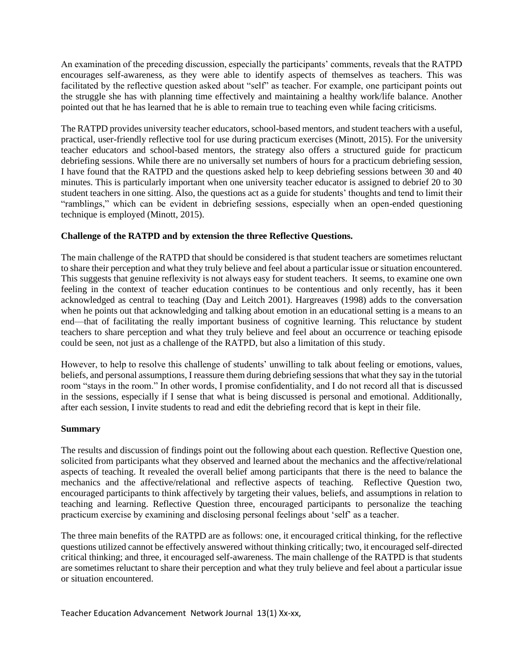An examination of the preceding discussion, especially the participants' comments, reveals that the RATPD encourages self-awareness, as they were able to identify aspects of themselves as teachers. This was facilitated by the reflective question asked about "self" as teacher. For example, one participant points out the struggle she has with planning time effectively and maintaining a healthy work/life balance. Another pointed out that he has learned that he is able to remain true to teaching even while facing criticisms.

The RATPD provides university teacher educators, school-based mentors, and student teachers with a useful, practical, user-friendly reflective tool for use during practicum exercises (Minott, 2015). For the university teacher educators and school-based mentors, the strategy also offers a structured guide for practicum debriefing sessions. While there are no universally set numbers of hours for a practicum debriefing session, I have found that the RATPD and the questions asked help to keep debriefing sessions between 30 and 40 minutes. This is particularly important when one university teacher educator is assigned to debrief 20 to 30 student teachers in one sitting. Also, the questions act as a guide for students' thoughts and tend to limit their "ramblings," which can be evident in debriefing sessions, especially when an open-ended questioning technique is employed (Minott, 2015).

# **Challenge of the RATPD and by extension the three Reflective Questions.**

The main challenge of the RATPD that should be considered is that student teachers are sometimes reluctant to share their perception and what they truly believe and feel about a particular issue or situation encountered. This suggests that genuine reflexivity is not always easy for student teachers. It seems, to examine one own feeling in the context of teacher education continues to be contentious and only recently, has it been acknowledged as central to teaching (Day and Leitch 2001). Hargreaves (1998) adds to the conversation when he points out that acknowledging and talking about emotion in an educational setting is a means to an end—that of facilitating the really important business of cognitive learning. This reluctance by student teachers to share perception and what they truly believe and feel about an occurrence or teaching episode could be seen, not just as a challenge of the RATPD, but also a limitation of this study.

However, to help to resolve this challenge of students' unwilling to talk about feeling or emotions, values, beliefs, and personal assumptions, I reassure them during debriefing sessions that what they say in the tutorial room "stays in the room." In other words, I promise confidentiality, and I do not record all that is discussed in the sessions, especially if I sense that what is being discussed is personal and emotional. Additionally, after each session, I invite students to read and edit the debriefing record that is kept in their file.

# **Summary**

The results and discussion of findings point out the following about each question. Reflective Question one, solicited from participants what they observed and learned about the mechanics and the affective/relational aspects of teaching. It revealed the overall belief among participants that there is the need to balance the mechanics and the affective/relational and reflective aspects of teaching. Reflective Question two, encouraged participants to think affectively by targeting their values, beliefs, and assumptions in relation to teaching and learning. Reflective Question three, encouraged participants to personalize the teaching practicum exercise by examining and disclosing personal feelings about 'self' as a teacher.

The three main benefits of the RATPD are as follows: one, it encouraged critical thinking, for the reflective questions utilized cannot be effectively answered without thinking critically; two, it encouraged self-directed critical thinking; and three, it encouraged self-awareness. The main challenge of the RATPD is that students are sometimes reluctant to share their perception and what they truly believe and feel about a particular issue or situation encountered.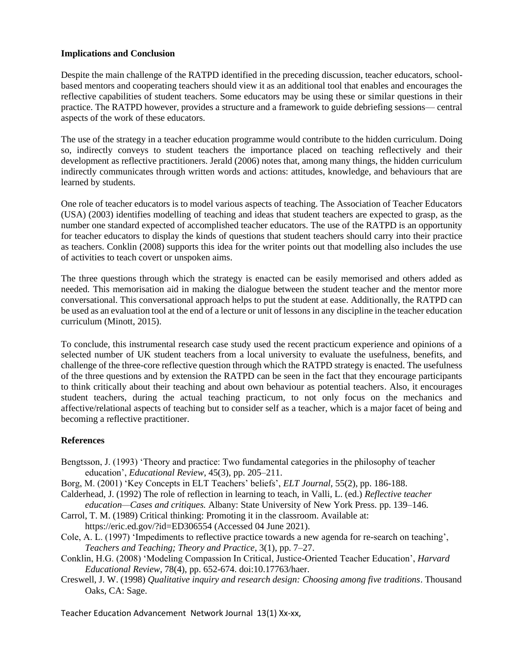# **Implications and Conclusion**

Despite the main challenge of the RATPD identified in the preceding discussion, teacher educators, schoolbased mentors and cooperating teachers should view it as an additional tool that enables and encourages the reflective capabilities of student teachers. Some educators may be using these or similar questions in their practice. The RATPD however, provides a structure and a framework to guide debriefing sessions— central aspects of the work of these educators.

The use of the strategy in a teacher education programme would contribute to the hidden curriculum. Doing so, indirectly conveys to student teachers the importance placed on teaching reflectively and their development as reflective practitioners. Jerald (2006) notes that, among many things, the hidden curriculum indirectly communicates through written words and actions: attitudes, knowledge, and behaviours that are learned by students.

One role of teacher educators is to model various aspects of teaching. The Association of Teacher Educators (USA) (2003) identifies modelling of teaching and ideas that student teachers are expected to grasp, as the number one standard expected of accomplished teacher educators. The use of the RATPD is an opportunity for teacher educators to display the kinds of questions that student teachers should carry into their practice as teachers. Conklin (2008) supports this idea for the writer points out that modelling also includes the use of activities to teach covert or unspoken aims.

The three questions through which the strategy is enacted can be easily memorised and others added as needed. This memorisation aid in making the dialogue between the student teacher and the mentor more conversational. This conversational approach helps to put the student at ease. Additionally, the RATPD can be used as an evaluation tool at the end of a lecture or unit of lessons in any discipline in the teacher education curriculum (Minott, 2015).

To conclude, this instrumental research case study used the recent practicum experience and opinions of a selected number of UK student teachers from a local university to evaluate the usefulness, benefits, and challenge of the three-core reflective question through which the RATPD strategy is enacted. The usefulness of the three questions and by extension the RATPD can be seen in the fact that they encourage participants to think critically about their teaching and about own behaviour as potential teachers. Also, it encourages student teachers, during the actual teaching practicum, to not only focus on the mechanics and affective/relational aspects of teaching but to consider self as a teacher, which is a major facet of being and becoming a reflective practitioner.

# **References**

- Bengtsson, J. (1993) 'Theory and practice: Two fundamental categories in the philosophy of teacher education', *Educational Review*, 45(3), pp. 205–211.
- Borg, M. (2001) 'Key Concepts in ELT Teachers' beliefs', *ELT Journal*, 55(2), pp. 186-188.
- Calderhead, J. (1992) The role of reflection in learning to teach, in Valli, L. (ed.) *Reflective teacher education—Cases and critiques.* Albany: State University of New York Press. pp. 139–146.
- Carrol, T. M. (1989) Critical thinking: Promoting it in the classroom. Available at:
- <https://eric.ed.gov/?id=ED306554> (Accessed 04 June 2021).
- Cole, A. L. (1997) 'Impediments to reflective practice towards a new agenda for re-search on teaching', *Teachers and Teaching; Theory and Practice*, 3(1), pp. 7–27.
- Conklin, H.G. (2008) 'Modeling Compassion In Critical, Justice-Oriented Teacher Education', *Harvard Educational Review,* 78(4), pp. 652-674. doi:10.17763/haer.
- Creswell, J. W. (1998) *Qualitative inquiry and research design: Choosing among five traditions*. Thousand Oaks, CA: Sage.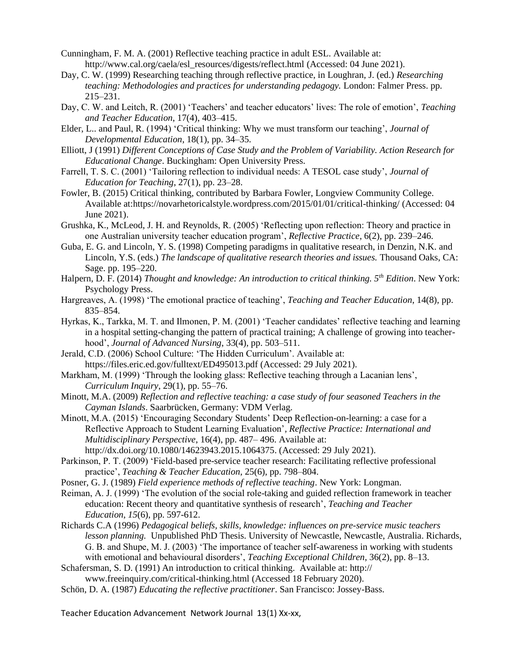- Cunningham, F. M. A. (2001) Reflective teaching practice in adult ESL. Available at: [http://www.cal.org/caela/esl\\_resources/digests/reflect.html](http://www.cal.org/caela/esl_resources/digests/reflect.html) (Accessed: 04 June 2021).
- Day, C. W. (1999) Researching teaching through reflective practice, in Loughran, J. (ed.) *Researching teaching: Methodologies and practices for understanding pedagogy.* London: Falmer Press. pp. 215–231.
- Day, C. W. and Leitch, R. (2001) 'Teachers' and teacher educators' lives: The role of emotion', *Teaching and Teacher Education*, 17(4), 403–415.
- Elder, L.. and Paul, R. (1994) 'Critical thinking: Why we must transform our teaching', *Journal of Developmental Education*, 18(1), pp. 34–35.
- Elliott, J (1991) *Different Conceptions of Case Study and the Problem of Variability. Action Research for Educational Change*. Buckingham: Open University Press.
- Farrell, T. S. C. (2001) 'Tailoring reflection to individual needs: A TESOL case study', *Journal of Education for Teaching*, 27(1), pp. 23–28.
- Fowler, B. (2015) Critical thinking, contributed by Barbara Fowler, Longview Community College. Available at[:https://novarhetoricalstyle.wordpress.com/2015/01/01/critical-thinking/](https://novarhetoricalstyle.wordpress.com/2015/01/01/critical-thinking/) (Accessed: 04 June 2021).
- Grushka, K., McLeod, J. H. and Reynolds, R. (2005) 'Reflecting upon reflection: Theory and practice in one Australian university teacher education program', *Reflective Practice*, 6(2), pp. 239–246.
- Guba, E. G. and Lincoln, Y. S. (1998) Competing paradigms in qualitative research, in Denzin, N.K. and Lincoln, Y.S. (eds.) *The landscape of qualitative research theories and issues.* Thousand Oaks, CA: Sage. pp. 195–220.
- Halpern, D. F. (2014) *Thought and knowledge: An introduction to critical thinking. 5th Edition*. New York: Psychology Press.
- Hargreaves, A. (1998) 'The emotional practice of teaching', *Teaching and Teacher Education*, 14(8), pp. 835–854.
- Hyrkas, K., Tarkka, M. T. and Ilmonen, P. M. (2001) 'Teacher candidates' reflective teaching and learning in a hospital setting-changing the pattern of practical training; A challenge of growing into teacherhood', *Journal of Advanced Nursing*, 33(4), pp. 503–511.
- Jerald, C.D. (2006) School Culture: 'The Hidden Curriculum'. Available at: <https://files.eric.ed.gov/fulltext/ED495013.pdf> (Accessed: 29 July 2021).
- Markham, M. (1999) 'Through the looking glass: Reflective teaching through a Lacanian lens', *Curriculum Inquiry*, 29(1), pp. 55–76.
- Minott, M.A. (2009) *Reflection and reflective teaching: a case study of four seasoned Teachers in the Cayman Islands*. Saarbrücken, Germany: VDM Verlag.
- Minott, M.A. (2015) 'Encouraging Secondary Students' Deep Reflection-on-learning: a case for a Reflective Approach to Student Learning Evaluation'*, Reflective Practice: International and Multidisciplinary Perspective*, 16(4), pp. 487– 496. Available at: [http://dx.doi.org/10.1080/14623943.2015.1064375.](http://dx.doi.org/10.1080/14623943.2015.1064375) (Accessed: 29 July 2021).
- Parkinson, P. T. (2009) 'Field-based pre-service teacher research: Facilitating reflective professional practice', *Teaching & Teacher Education*, 25(6), pp. 798–804.
- Posner, G. J. (1989) *Field experience methods of reflective teaching*. New York: Longman.
- Reiman, A. J. (1999) 'The evolution of the social role-taking and guided reflection framework in teacher education: Recent theory and quantitative synthesis of research', *Teaching and Teacher Education*, *15*(6), pp. 597-612.
- Richards C.A (1996) *Pedagogical beliefs, skills, knowledge: influences on pre-service music teachers lesson planning.* Unpublished PhD Thesis. University of Newcastle, Newcastle, Australia. Richards, G. B. and Shupe, M. J. (2003) 'The importance of teacher self-awareness in working with students with emotional and behavioural disorders', *Teaching Exceptional Children*, 36(2), pp. 8–13.
- Schafersman, S. D. (1991) An introduction to critical thinking. Available at: http://
	- [www.freeinquiry.com/critical-thinking.html](http://www.freeinquiry.com/critical-thinking.html) (Accessed 18 February 2020).
- Schön, D. A. (1987) *Educating the reflective practitioner*. San Francisco: Jossey-Bass.